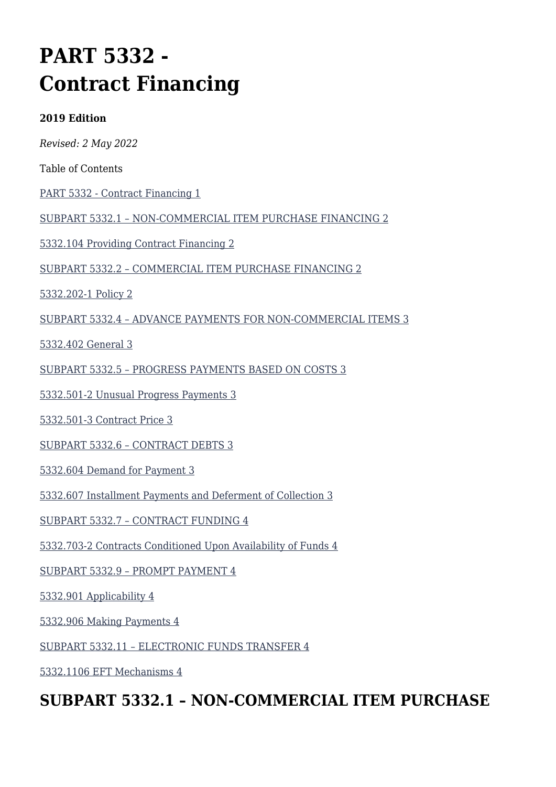# **PART 5332 - Contract Financing**

#### **2019 Edition**

*Revised: 2 May 2022*

Table of Contents

[PART 5332 - Contract Financing 1](#page--1-0)

[SUBPART 5332.1 – NON-COMMERCIAL ITEM PURCHASE FINANCING 2](#page--1-0)

[5332.104 Providing Contract Financing 2](#page--1-0)

[SUBPART 5332.2 – COMMERCIAL ITEM PURCHASE FINANCING 2](#page--1-0)

[5332.202-1 Policy 2](#page--1-0)

[SUBPART 5332.4 – ADVANCE PAYMENTS FOR NON-COMMERCIAL ITEMS 3](#page--1-0)

[5332.402 General 3](#page--1-0)

[SUBPART 5332.5 – PROGRESS PAYMENTS BASED ON COSTS 3](#page--1-0)

[5332.501-2 Unusual Progress Payments 3](#page--1-0)

[5332.501-3 Contract Price 3](#page--1-0)

[SUBPART 5332.6 – CONTRACT DEBTS 3](#page--1-0)

[5332.604 Demand for Payment 3](#page--1-0)

[5332.607 Installment Payments and Deferment of Collection 3](#page--1-0)

[SUBPART 5332.7 – CONTRACT FUNDING 4](#page--1-0)

[5332.703-2 Contracts Conditioned Upon Availability of Funds 4](#page--1-0)

[SUBPART 5332.9 – PROMPT PAYMENT 4](#page--1-0)

[5332.901 Applicability 4](#page--1-0)

[5332.906 Making Payments 4](#page--1-0)

[SUBPART 5332.11 – ELECTRONIC FUNDS TRANSFER 4](#page--1-0)

[5332.1106 EFT Mechanisms 4](#page--1-0)

### **SUBPART 5332.1 – NON-COMMERCIAL ITEM PURCHASE**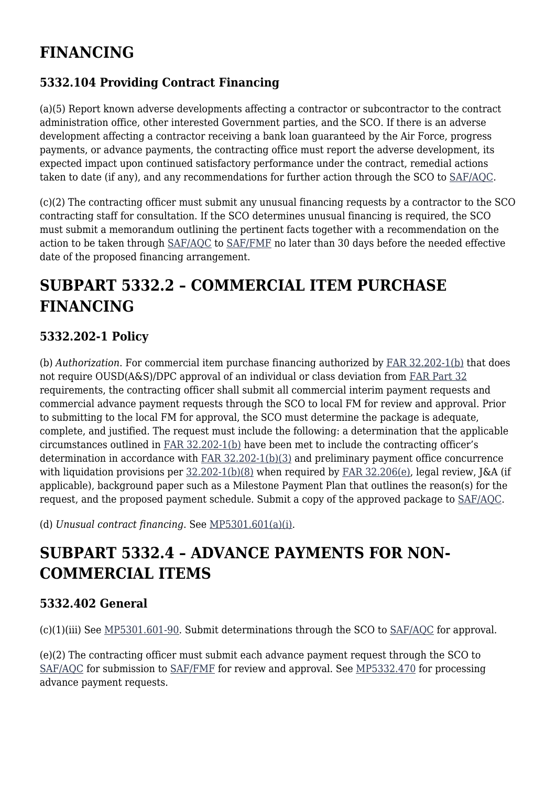# **FINANCING**

### **5332.104 Providing Contract Financing**

(a)(5) Report known adverse developments affecting a contractor or subcontractor to the contract administration office, other interested Government parties, and the SCO. If there is an adverse development affecting a contractor receiving a bank loan guaranteed by the Air Force, progress payments, or advance payments, the contracting office must report the adverse development, its expected impact upon continued satisfactory performance under the contract, remedial actions taken to date (if any), and any recommendations for further action through the SCO to [SAF/AQC](mailto:SAF.AQ.SAF-AQC.Workflow@us.af.mil)*.*

(c)(2) The contracting officer must submit any unusual financing requests by a contractor to the SCO contracting staff for consultation. If the SCO determines unusual financing is required, the SCO must submit a memorandum outlining the pertinent facts together with a recommendation on the action to be taken through [SAF/AQC](mailto:SAF.AQ.SAF-AQC.Workflow@us.af.mil) to [SAF/FMF](mailto:SAF.FMF.Workflow@us.af.mil) no later than 30 days before the needed effective date of the proposed financing arrangement.

## **SUBPART 5332.2 – COMMERCIAL ITEM PURCHASE FINANCING**

#### **5332.202-1 Policy**

(b) *Authorization*. For commercial item purchase financing authorized by [FAR 32.202-1\(b\)](https://www.acquisition.gov/far/part-32#FAR_32_202_1) that does not require OUSD(A&S)/DPC approval of an individual or class deviation from [FAR Part 32](https://www.acquisition.gov/far/part-32) requirements, the contracting officer shall submit all commercial interim payment requests and commercial advance payment requests through the SCO to local FM for review and approval. Prior to submitting to the local FM for approval, the SCO must determine the package is adequate, complete, and justified. The request must include the following: a determination that the applicable circumstances outlined in [FAR 32.202-1\(b\)](https://www.acquisition.gov/far/part-32#FAR_32_202_1) have been met to include the contracting officer's determination in accordance with [FAR 32.202-1\(b\)\(3\)](https://www.acquisition.gov/far/part-32#FAR_32_202_1) and preliminary payment office concurrence with liquidation provisions per  $32.202-1(b)(8)$  when required by FAR  $32.206(e)$ , legal review, J&A (if applicable), background paper such as a Milestone Payment Plan that outlines the reason(s) for the request, and the proposed payment schedule. Submit a copy of the approved package to [SAF/AQC](mailto:SAF.AQ.SAF-AQC.Workflow@us.af.mil).

(d) *Unusual contract financing*. See [MP5301.601\(a\)\(i\).](https://origin-www.acquisition.gov/%5Brp:link:affars-mp-AFFARS-MP_PART-mp_5301.601(a)(i)%5D#p53322021d)

## **SUBPART 5332.4 – ADVANCE PAYMENTS FOR NON-COMMERCIAL ITEMS**

#### **5332.402 General**

(c)(1)(iii) See [MP5301.601-90.](https://origin-www.acquisition.gov/%5Brp:link:affars-mp-AFFARS-MP_PART-mp_5301.601-90%5D) Submit determinations through the SCO to [SAF/AQC](mailto:SAF.AQ.SAF-AQC.Workflow@us.af.mil) for approval.

(e)(2) The contracting officer must submit each advance payment request through the SCO to [SAF/AQC](mailto:SAF.AQ.SAF-AQC.Workflow@us.af.mil) for submission to [SAF/FMF](mailto:SAF.FMF.Workflow@us.af.mil) for review and approval. See [MP5332.470](https://origin-www.acquisition.gov/%5Brp:link:affars-mp-AFFARS-MP_PART-mp_5332.470%5D) for processing advance payment requests.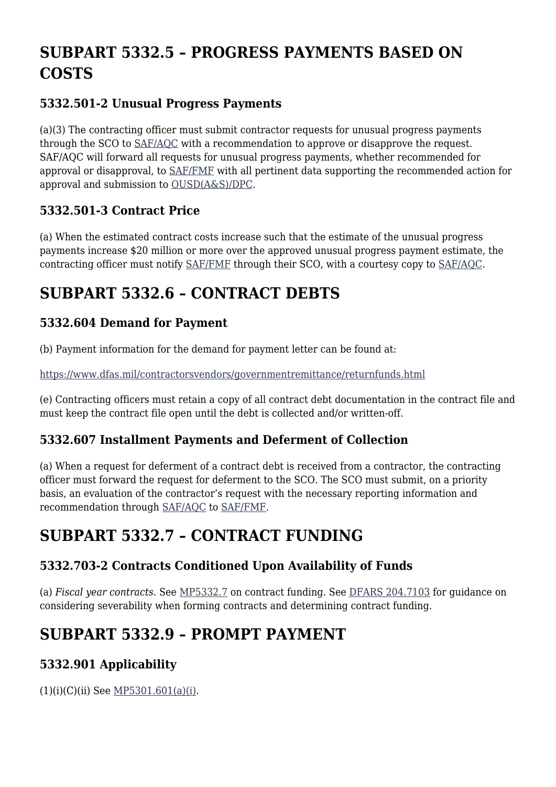# **SUBPART 5332.5 – PROGRESS PAYMENTS BASED ON COSTS**

### **5332.501-2 Unusual Progress Payments**

(a)(3) The contracting officer must submit contractor requests for unusual progress payments through the SCO to [SAF/AQC](mailto:SAF.AQ.SAF-AQC.Workflow@us.af.mil) with a recommendation to approve or disapprove the request. SAF/AQC will forward all requests for unusual progress payments, whether recommended for approval or disapproval, to [SAF/FMF](mailto:SAF.FMF.Workflow@us.af.mil) with all pertinent data supporting the recommended action for approval and submission to [OUSD\(A&S\)/DPC.](mailto:osd.pentagon.ousd-atl.mbx.cpic@mail.mil)

### **5332.501-3 Contract Price**

(a) When the estimated contract costs increase such that the estimate of the unusual progress payments increase \$20 million or more over the approved unusual progress payment estimate, the contracting officer must notify [SAF/FMF](mailto:SAF.FMF.Workflow@us.af.mil) through their SCO, with a courtesy copy to [SAF/AQC.](mailto:SAF.AQ.SAF-AQC.Workflow@us.af.mil)

# **SUBPART 5332.6 – CONTRACT DEBTS**

### **5332.604 Demand for Payment**

(b) Payment information for the demand for payment letter can be found at:

<https://www.dfas.mil/contractorsvendors/governmentremittance/returnfunds.html>

(e) Contracting officers must retain a copy of all contract debt documentation in the contract file and must keep the contract file open until the debt is collected and/or written-off.

#### **5332.607 Installment Payments and Deferment of Collection**

(a) When a request for deferment of a contract debt is received from a contractor, the contracting officer must forward the request for deferment to the SCO. The SCO must submit, on a priority basis, an evaluation of the contractor's request with the necessary reporting information and recommendation through [SAF/AQC](mailto:SAF.AQ.SAF-AQC.Workflow@us.af.mil) to [SAF/FMF.](mailto:SAF.FMF.Workflow@us.af.mil)

### **SUBPART 5332.7 – CONTRACT FUNDING**

### **5332.703-2 Contracts Conditioned Upon Availability of Funds**

(a) *Fiscal year contracts.* See [MP5332.7](https://origin-www.acquisition.gov/%5Brp:link:affars-mp-AFFARS-MP_PART-mp_5332.7%5D) on contract funding. See [DFARS 204.7103](https://www.acquisition.gov/dfars/part-204-administrative-and-information-matters#DFARS-204.7103) for guidance on considering severability when forming contracts and determining contract funding.

## **SUBPART 5332.9 – PROMPT PAYMENT**

### **5332.901 Applicability**

 $(1)(i)(C)(ii)$  See [MP5301.601\(a\)\(i\)](https://origin-www.acquisition.gov/%5Brp:link:affars-mp-AFFARS-MP_PART-mp_5301.601(a)(i)%5D#p53329011icii).